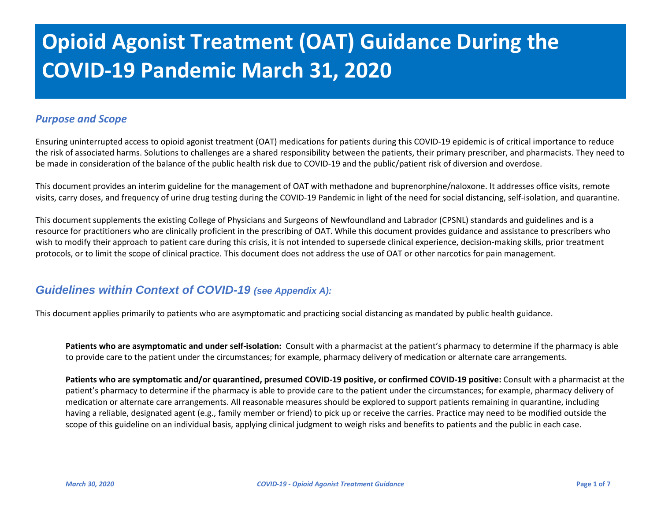# **Opioid Agonist Treatment (OAT) Guidance During the COVID-19 Pandemic March 31, 2020**

## *Purpose and Scope*

Ensuring uninterrupted access to opioid agonist treatment (OAT) medications for patients during this COVID-19 epidemic is of critical importance to reduce the risk of associated harms. Solutions to challenges are a shared responsibility between the patients, their primary prescriber, and pharmacists. They need to be made in consideration of the balance of the public health risk due to COVID-19 and the public/patient risk of diversion and overdose.

This document provides an interim guideline for the management of OAT with methadone and buprenorphine/naloxone. It addresses office visits, remote visits, carry doses, and frequency of urine drug testing during the COVID-19 Pandemic in light of the need for social distancing, self-isolation, and quarantine.

This document supplements the existing College of Physicians and Surgeons of Newfoundland and Labrador (CPSNL) standards and guidelines and is a resource for practitioners who are clinically proficient in the prescribing of OAT. While this document provides guidance and assistance to prescribers who wish to modify their approach to patient care during this crisis, it is not intended to supersede clinical experience, decision-making skills, prior treatment protocols, or to limit the scope of clinical practice. This document does not address the use of OAT or other narcotics for pain management.

# *Guidelines within Context of COVID-19 (see Appendix A):*

This document applies primarily to patients who are asymptomatic and practicing social distancing as mandated by public health guidance.

**Patients who are asymptomatic and under self-isolation:** Consult with a pharmacist at the patient's pharmacy to determine if the pharmacy is able to provide care to the patient under the circumstances; for example, pharmacy delivery of medication or alternate care arrangements.

**Patients who are symptomatic and/or quarantined, presumed COVID-19 positive, or confirmed COVID-19 positive:** Consult with a pharmacist at the patient's pharmacy to determine if the pharmacy is able to provide care to the patient under the circumstances; for example, pharmacy delivery of medication or alternate care arrangements. All reasonable measures should be explored to support patients remaining in quarantine, including having a reliable, designated agent (e.g., family member or friend) to pick up or receive the carries. Practice may need to be modified outside the scope of this guideline on an individual basis, applying clinical judgment to weigh risks and benefits to patients and the public in each case.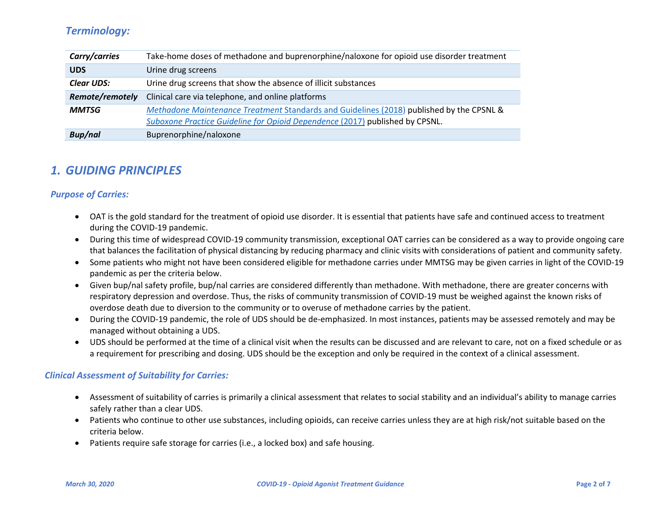# *Terminology:*

| Carry/carries     | Take-home doses of methadone and buprenorphine/naloxone for opioid use disorder treatment                                                                                |  |
|-------------------|--------------------------------------------------------------------------------------------------------------------------------------------------------------------------|--|
| <b>UDS</b>        | Urine drug screens                                                                                                                                                       |  |
| <b>Clear UDS:</b> | Urine drug screens that show the absence of illicit substances                                                                                                           |  |
| Remote/remotely   | Clinical care via telephone, and online platforms                                                                                                                        |  |
| <b>MMTSG</b>      | Methadone Maintenance Treatment Standards and Guidelines (2018) published by the CPSNL &<br>Suboxone Practice Guideline for Opioid Dependence (2017) published by CPSNL. |  |
| <b>Bup/nal</b>    | Buprenorphine/naloxone                                                                                                                                                   |  |

# *1. GUIDING PRINCIPLES*

## *Purpose of Carries:*

- OAT is the gold standard for the treatment of opioid use disorder. It is essential that patients have safe and continued access to treatment during the COVID-19 pandemic.
- During this time of widespread COVID-19 community transmission, exceptional OAT carries can be considered as a way to provide ongoing care that balances the facilitation of physical distancing by reducing pharmacy and clinic visits with considerations of patient and community safety.
- Some patients who might not have been considered eligible for methadone carries under MMTSG may be given carries in light of the COVID-19 pandemic as per the criteria below.
- Given bup/nal safety profile, bup/nal carries are considered differently than methadone. With methadone, there are greater concerns with respiratory depression and overdose. Thus, the risks of community transmission of COVID-19 must be weighed against the known risks of overdose death due to diversion to the community or to overuse of methadone carries by the patient.
- During the COVID-19 pandemic, the role of UDS should be de-emphasized. In most instances, patients may be assessed remotely and may be managed without obtaining a UDS.
- UDS should be performed at the time of a clinical visit when the results can be discussed and are relevant to care, not on a fixed schedule or as a requirement for prescribing and dosing. UDS should be the exception and only be required in the context of a clinical assessment.

#### *Clinical Assessment of Suitability for Carries:*

- Assessment of suitability of carries is primarily a clinical assessment that relates to social stability and an individual's ability to manage carries safely rather than a clear UDS.
- Patients who continue to other use substances, including opioids, can receive carries unless they are at high risk/not suitable based on the criteria below.
- Patients require safe storage for carries (i.e., a locked box) and safe housing.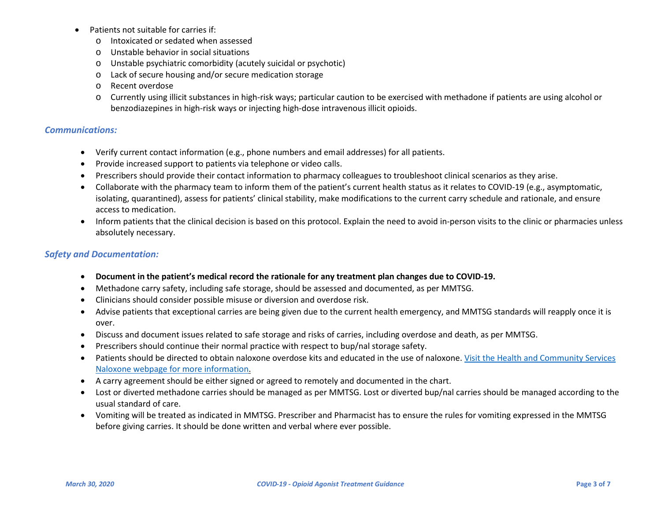- Patients not suitable for carries if:
	- o Intoxicated or sedated when assessed
	- o Unstable behavior in social situations
	- o Unstable psychiatric comorbidity (acutely suicidal or psychotic)
	- o Lack of secure housing and/or secure medication storage
	- o Recent overdose
	- o Currently using illicit substances in high-risk ways; particular caution to be exercised with methadone if patients are using alcohol or benzodiazepines in high-risk ways or injecting high-dose intravenous illicit opioids.

#### *Communications:*

- Verify current contact information (e.g., phone numbers and email addresses) for all patients.
- Provide increased support to patients via telephone or video calls.
- Prescribers should provide their contact information to pharmacy colleagues to troubleshoot clinical scenarios as they arise.
- Collaborate with the pharmacy team to inform them of the patient's current health status as it relates to COVID-19 (e.g., asymptomatic, isolating, quarantined), assess for patients' clinical stability, make modifications to the current carry schedule and rationale, and ensure access to medication.
- Inform patients that the clinical decision is based on this protocol. Explain the need to avoid in-person visits to the clinic or pharmacies unless absolutely necessary.

## *Safety and Documentation:*

- **Document in the patient's medical record the rationale for any treatment plan changes due to COVID-19.**
- Methadone carry safety, including safe storage, should be assessed and documented, as per MMTSG.
- Clinicians should consider possible misuse or diversion and overdose risk.
- Advise patients that exceptional carries are being given due to the current health emergency, and MMTSG standards will reapply once it is over.
- Discuss and document issues related to safe storage and risks of carries, including overdose and death, as per MMTSG.
- Prescribers should continue their normal practice with respect to bup/nal storage safety.
- Patients should be directed to obtain naloxone overdose kits and educated in the use of naloxone. [Visit the Health and Community Services](https://www.health.gov.nl.ca/health/naloxonekits/)  [Naloxone webpage for more information.](https://www.health.gov.nl.ca/health/naloxonekits/)
- A carry agreement should be either signed or agreed to remotely and documented in the chart.
- Lost or diverted methadone carries should be managed as per MMTSG. Lost or diverted bup/nal carries should be managed according to the usual standard of care.
- Vomiting will be treated as indicated in MMTSG. Prescriber and Pharmacist has to ensure the rules for vomiting expressed in the MMTSG before giving carries. It should be done written and verbal where ever possible.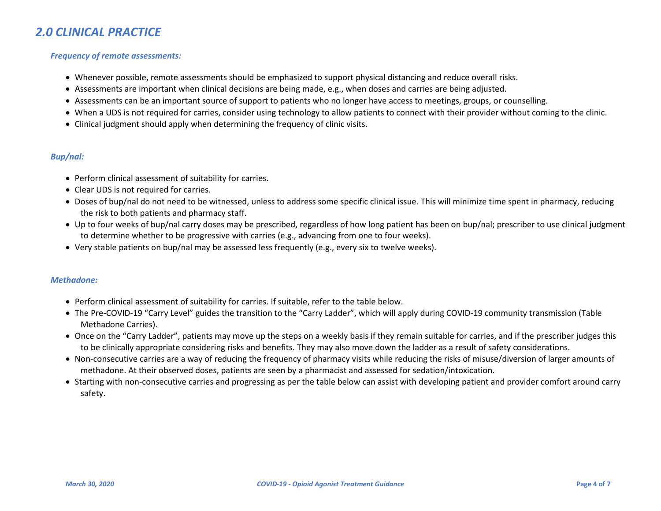# *2.0 CLINICAL PRACTICE*

#### *Frequency of remote assessments:*

- Whenever possible, remote assessments should be emphasized to support physical distancing and reduce overall risks.
- Assessments are important when clinical decisions are being made, e.g., when doses and carries are being adjusted.
- Assessments can be an important source of support to patients who no longer have access to meetings, groups, or counselling.
- When a UDS is not required for carries, consider using technology to allow patients to connect with their provider without coming to the clinic.
- Clinical judgment should apply when determining the frequency of clinic visits.

#### *Bup/nal:*

- Perform clinical assessment of suitability for carries.
- Clear UDS is not required for carries.
- Doses of bup/nal do not need to be witnessed, unless to address some specific clinical issue. This will minimize time spent in pharmacy, reducing the risk to both patients and pharmacy staff.
- Up to four weeks of bup/nal carry doses may be prescribed, regardless of how long patient has been on bup/nal; prescriber to use clinical judgment to determine whether to be progressive with carries (e.g., advancing from one to four weeks).
- Very stable patients on bup/nal may be assessed less frequently (e.g., every six to twelve weeks).

#### *Methadone:*

- Perform clinical assessment of suitability for carries. If suitable, refer to the table below.
- The Pre-COVID-19 "Carry Level" guides the transition to the "Carry Ladder", which will apply during COVID-19 community transmission (Table Methadone Carries).
- Once on the "Carry Ladder", patients may move up the steps on a weekly basis if they remain suitable for carries, and if the prescriber judges this to be clinically appropriate considering risks and benefits. They may also move down the ladder as a result of safety considerations.
- Non-consecutive carries are a way of reducing the frequency of pharmacy visits while reducing the risks of misuse/diversion of larger amounts of methadone. At their observed doses, patients are seen by a pharmacist and assessed for sedation/intoxication.
- Starting with non-consecutive carries and progressing as per the table below can assist with developing patient and provider comfort around carry safety.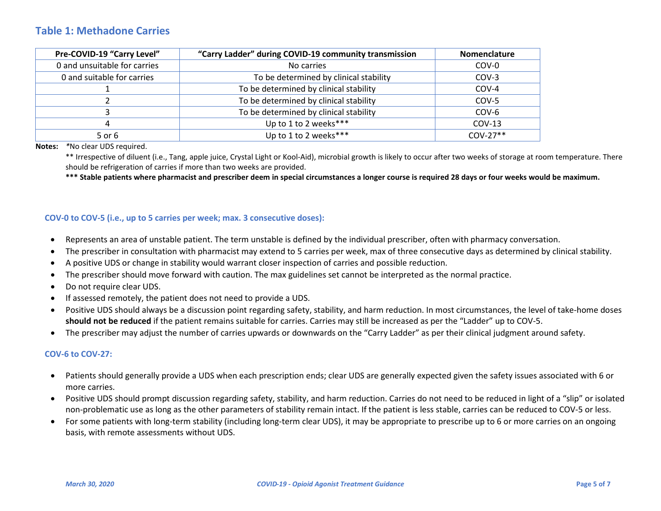## **Table 1: Methadone Carries**

| Pre-COVID-19 "Carry Level"   | "Carry Ladder" during COVID-19 community transmission | Nomenclature |
|------------------------------|-------------------------------------------------------|--------------|
| 0 and unsuitable for carries | No carries                                            | COV-0        |
| 0 and suitable for carries   | To be determined by clinical stability                | COV-3        |
|                              | To be determined by clinical stability                | COV-4        |
|                              | To be determined by clinical stability                | COV-5        |
|                              | To be determined by clinical stability                | COV-6        |
| 4                            | Up to 1 to 2 weeks***                                 | $COV-13$     |
| 5 or 6                       | Up to 1 to 2 weeks***                                 | $COV-27**$   |

**Notes:** *\**No clear UDS required.

\*\* Irrespective of diluent (i.e., Tang, apple juice, Crystal Light or Kool-Aid), microbial growth is likely to occur after two weeks of storage at room temperature. There should be refrigeration of carries if more than two weeks are provided.

**\*\*\* Stable patients where pharmacist and prescriber deem in special circumstances a longer course is required 28 days or four weeks would be maximum.**

#### **COV-0 to COV-5 (i.e., up to 5 carries per week; max. 3 consecutive doses):**

- Represents an area of unstable patient. The term unstable is defined by the individual prescriber, often with pharmacy conversation.
- The prescriber in consultation with pharmacist may extend to 5 carries per week, max of three consecutive days as determined by clinical stability.
- A positive UDS or change in stability would warrant closer inspection of carries and possible reduction.
- The prescriber should move forward with caution. The max guidelines set cannot be interpreted as the normal practice.
- Do not require clear UDS.
- If assessed remotely, the patient does not need to provide a UDS.
- Positive UDS should always be a discussion point regarding safety, stability, and harm reduction. In most circumstances, the level of take-home doses **should not be reduced** if the patient remains suitable for carries. Carries may still be increased as per the "Ladder" up to COV-5.
- The prescriber may adjust the number of carries upwards or downwards on the "Carry Ladder" as per their clinical judgment around safety.

#### **COV-6 to COV-27:**

- Patients should generally provide a UDS when each prescription ends; clear UDS are generally expected given the safety issues associated with 6 or more carries.
- Positive UDS should prompt discussion regarding safety, stability, and harm reduction. Carries do not need to be reduced in light of a "slip" or isolated non-problematic use as long as the other parameters of stability remain intact. If the patient is less stable, carries can be reduced to COV-5 or less.
- For some patients with long-term stability (including long-term clear UDS), it may be appropriate to prescribe up to 6 or more carries on an ongoing basis, with remote assessments without UDS.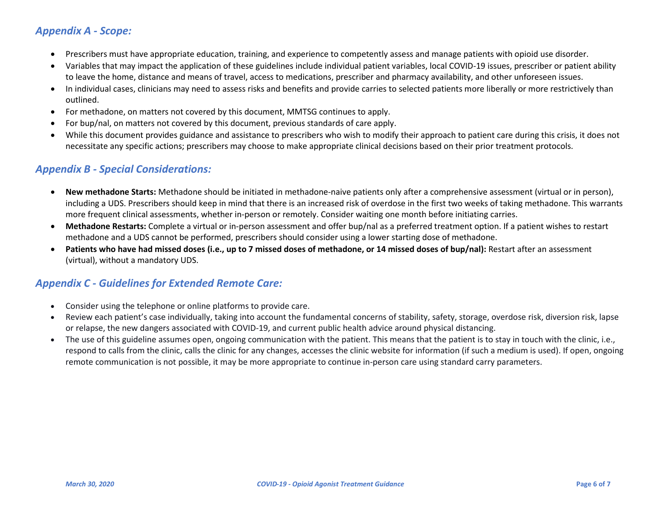# *Appendix A - Scope:*

- Prescribers must have appropriate education, training, and experience to competently assess and manage patients with opioid use disorder.
- Variables that may impact the application of these guidelines include individual patient variables, local COVID-19 issues, prescriber or patient ability to leave the home, distance and means of travel, access to medications, prescriber and pharmacy availability, and other unforeseen issues.
- In individual cases, clinicians may need to assess risks and benefits and provide carries to selected patients more liberally or more restrictively than outlined.
- For methadone, on matters not covered by this document, MMTSG continues to apply.
- For bup/nal, on matters not covered by this document, previous standards of care apply.
- While this document provides guidance and assistance to prescribers who wish to modify their approach to patient care during this crisis, it does not necessitate any specific actions; prescribers may choose to make appropriate clinical decisions based on their prior treatment protocols.

## *Appendix B - Special Considerations:*

- **New methadone Starts:** Methadone should be initiated in methadone-naive patients only after a comprehensive assessment (virtual or in person), including a UDS. Prescribers should keep in mind that there is an increased risk of overdose in the first two weeks of taking methadone. This warrants more frequent clinical assessments, whether in-person or remotely. Consider waiting one month before initiating carries.
- **Methadone Restarts:** Complete a virtual or in-person assessment and offer bup/nal as a preferred treatment option. If a patient wishes to restart methadone and a UDS cannot be performed, prescribers should consider using a lower starting dose of methadone.
- **Patients who have had missed doses (i.e., up to 7 missed doses of methadone, or 14 missed doses of bup/nal):** Restart after an assessment (virtual), without a mandatory UDS.

## *Appendix C - Guidelines for Extended Remote Care:*

- Consider using the telephone or online platforms to provide care.
- Review each patient's case individually, taking into account the fundamental concerns of stability, safety, storage, overdose risk, diversion risk, lapse or relapse, the new dangers associated with COVID-19, and current public health advice around physical distancing.
- The use of this guideline assumes open, ongoing communication with the patient. This means that the patient is to stay in touch with the clinic, i.e., respond to calls from the clinic, calls the clinic for any changes, accesses the clinic website for information (if such a medium is used). If open, ongoing remote communication is not possible, it may be more appropriate to continue in-person care using standard carry parameters.